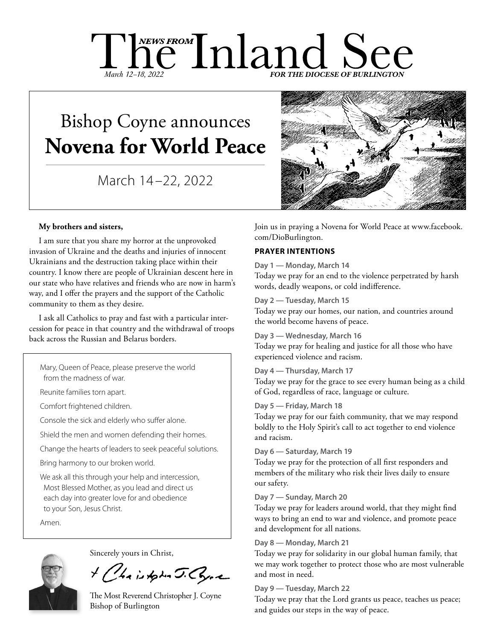# $\prod_{March 12–18, 2022}$   $\text{Ind}_{2-18, 2022}$   $\text{Ind}_{2-18, 2022}$

# Bishop Coyne announces **Novena for World Peace**

March 14–22, 2022



### **My brothers and sisters,**

I am sure that you share my horror at the unprovoked invasion of Ukraine and the deaths and injuries of innocent Ukrainians and the destruction taking place within their country. I know there are people of Ukrainian descent here in our state who have relatives and friends who are now in harm's way, and I offer the prayers and the support of the Catholic community to them as they desire.

I ask all Catholics to pray and fast with a particular intercession for peace in that country and the withdrawal of troops back across the Russian and Belarus borders.

Mary, Queen of Peace, please preserve the world from the madness of war.

Reunite families torn apart.

Comfort frightened children.

Console the sick and elderly who suffer alone.

Shield the men and women defending their homes.

Change the hearts of leaders to seek peaceful solutions.

Bring harmony to our broken world.

We ask all this through your help and intercession, Most Blessed Mother, as you lead and direct us each day into greater love for and obedience to your Son, Jesus Christ.

Amen.



Sincerely yours in Christ,

+ Chaistphen J. Coyne

The Most Reverend Christopher J. Coyne Bishop of Burlington

Join us in praying a Novena for World Peace at www.facebook. com/DioBurlington.

## **PRAYER INTENTIONS**

#### **Day 1 — Monday, March 14**

Today we pray for an end to the violence perpetrated by harsh words, deadly weapons, or cold indifference.

**Day 2 — Tuesday, March 15**

Today we pray our homes, our nation, and countries around the world become havens of peace.

#### **Day 3 — Wednesday, March 16**

Today we pray for healing and justice for all those who have experienced violence and racism.

**Day 4 — Thursday, March 17**

Today we pray for the grace to see every human being as a child of God, regardless of race, language or culture.

#### **Day 5 — Friday, March 18**

Today we pray for our faith community, that we may respond boldly to the Holy Spirit's call to act together to end violence and racism.

#### **Day 6 — Saturday, March 19**

Today we pray for the protection of all first responders and members of the military who risk their lives daily to ensure our safety.

#### **Day 7 — Sunday, March 20**

Today we pray for leaders around world, that they might find ways to bring an end to war and violence, and promote peace and development for all nations.

#### **Day 8 — Monday, March 21**

Today we pray for solidarity in our global human family, that we may work together to protect those who are most vulnerable and most in need.

#### **Day 9 — Tuesday, March 22**

Today we pray that the Lord grants us peace, teaches us peace; and guides our steps in the way of peace.